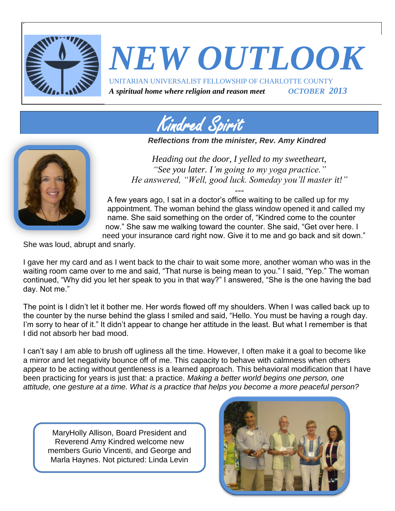

# *NEW OUTLOOK* UNITARIAN UNIVERSALIST FELLOWSHIP OF CHARLOTTE COUNTY

*A spiritual home where religion and reason meet OCTOBER 2013*



*Reflections from the minister, Rev. Amy Kindred*



*Heading out the door, I yelled to my sweetheart, "See you later. I'm going to my yoga practice." He answered, "Well, good luck. Someday you'll master it!"*

--- A few years ago, I sat in a doctor's office waiting to be called up for my appointment. The woman behind the glass window opened it and called my name. She said something on the order of, "Kindred come to the counter now." She saw me walking toward the counter. She said, "Get over here. I need your insurance card right now. Give it to me and go back and sit down."

She was loud, abrupt and snarly.

I gave her my card and as I went back to the chair to wait some more, another woman who was in the waiting room came over to me and said, "That nurse is being mean to you." I said, "Yep." The woman continued, "Why did you let her speak to you in that way?" I answered, "She is the one having the bad day. Not me."

The point is I didn't let it bother me. Her words flowed off my shoulders. When I was called back up to the counter by the nurse behind the glass I smiled and said, "Hello. You must be having a rough day. I'm sorry to hear of it." It didn't appear to change her attitude in the least. But what I remember is that I did not absorb her bad mood.

I can't say I am able to brush off ugliness all the time. However, I often make it a goal to become like a mirror and let negativity bounce off of me. This capacity to behave with calmness when others appear to be acting without gentleness is a learned approach. This behavioral modification that I have been practicing for years is just that: a practice. *Making a better world begins one person, one attitude, one gesture at a time. What is a practice that helps you become a more peaceful person?* 

MaryHolly Allison, Board President and Reverend Amy Kindred welcome new members Gurio Vincenti, and George and Marla Haynes. Not pictured: Linda Levin

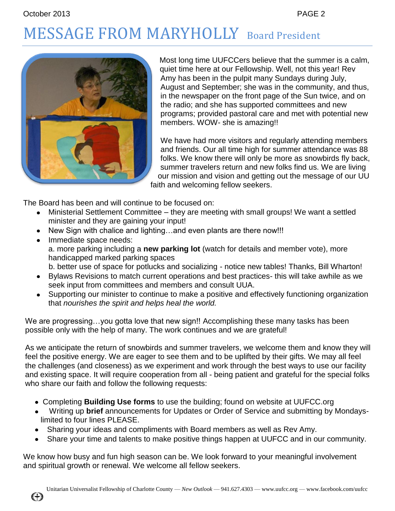# MESSAGE FROM MARYHOLLY Board President



Most long time UUFCCers believe that the summer is a calm, quiet time here at our Fellowship. Well, not this year! Rev Amy has been in the pulpit many Sundays during July, August and September; she was in the community, and thus, in the newspaper on the front page of the Sun twice, and on the radio; and she has supported committees and new programs; provided pastoral care and met with potential new members. WOW- she is amazing!!

We have had more visitors and regularly attending members and friends. Our all time high for summer attendance was 88 folks. We know there will only be more as snowbirds fly back, summer travelers return and new folks find us. We are living our mission and vision and getting out the message of our UU faith and welcoming fellow seekers.

The Board has been and will continue to be focused on:

- Ministerial Settlement Committee they are meeting with small groups! We want a settled minister and they are gaining your input!
- New Sign with chalice and lighting...and even plants are there now!!!
- Immediate space needs: a. more parking including a **new parking lot** (watch for details and member vote), more handicapped marked parking spaces
	- b. better use of space for potlucks and socializing notice new tables! Thanks, Bill Wharton!
- Bylaws Revisions to match current operations and best practices- this will take awhile as we seek input from committees and members and consult UUA.
- Supporting our minister to continue to make a positive and effectively functioning organization that *nourishes the spirit and helps heal the world.*

We are progressing...you gotta love that new sign!! Accomplishing these many tasks has been possible only with the help of many. The work continues and we are grateful!

As we anticipate the return of snowbirds and summer travelers, we welcome them and know they will feel the positive energy. We are eager to see them and to be uplifted by their gifts. We may all feel the challenges (and closeness) as we experiment and work through the best ways to use our facility and existing space. It will require cooperation from all - being patient and grateful for the special folks who share our faith and follow the following requests:

- Completing **Building Use forms** to use the building; found on website at UUFCC.org
- Writing up **brief** announcements for Updates or Order of Service and submitting by Mondayslimited to four lines PLEASE.
- Sharing your ideas and compliments with Board members as well as Rev Amy.
- Share your time and talents to make positive things happen at UUFCC and in our community.

We know how busy and fun high season can be. We look forward to your meaningful involvement and spiritual growth or renewal. We welcome all fellow seekers.

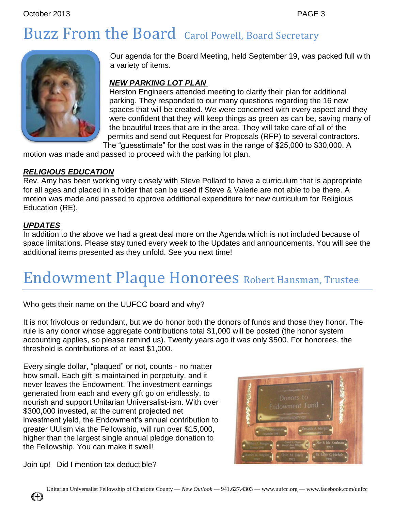### Buzz From the Board Carol Powell, Board Secretary



Our agenda for the Board Meeting, held September 19, was packed full with a variety of items.

#### *NEW PARKING LOT PLAN*

Herston Engineers attended meeting to clarify their plan for additional parking. They responded to our many questions regarding the 16 new spaces that will be created. We were concerned with every aspect and they were confident that they will keep things as green as can be, saving many of the beautiful trees that are in the area. They will take care of all of the permits and send out Request for Proposals (RFP) to several contractors. The "guesstimate" for the cost was in the range of \$25,000 to \$30,000. A

motion was made and passed to proceed with the parking lot plan.

#### *RELIGIOUS EDUCATION*

Rev. Amy has been working very closely with Steve Pollard to have a curriculum that is appropriate for all ages and placed in a folder that can be used if Steve & Valerie are not able to be there. A motion was made and passed to approve additional expenditure for new curriculum for Religious Education (RE).

#### *UPDATES*

In addition to the above we had a great deal more on the Agenda which is not included because of space limitations. Please stay tuned every week to the Updates and announcements. You will see the additional items presented as they unfold. See you next time!

### Endowment Plaque Honorees Robert Hansman, Trustee

Who gets their name on the UUFCC board and why?

It is not frivolous or redundant, but we do honor both the donors of funds and those they honor. The rule is any donor whose aggregate contributions total \$1,000 will be posted (the honor system accounting applies, so please remind us). Twenty years ago it was only \$500. For honorees, the threshold is contributions of at least \$1,000.

Every single dollar, "plaqued" or not, counts - no matter how small. Each gift is maintained in perpetuity, and it never leaves the Endowment. The investment earnings generated from each and every gift go on endlessly, to nourish and support Unitarian Universalist-ism. With over \$300,000 invested, at the current projected net investment yield, the Endowment's annual contribution to greater UUism via the Fellowship, will run over \$15,000, higher than the largest single annual pledge donation to the Fellowship. You can make it swell!



Join up! Did I mention tax deductible?

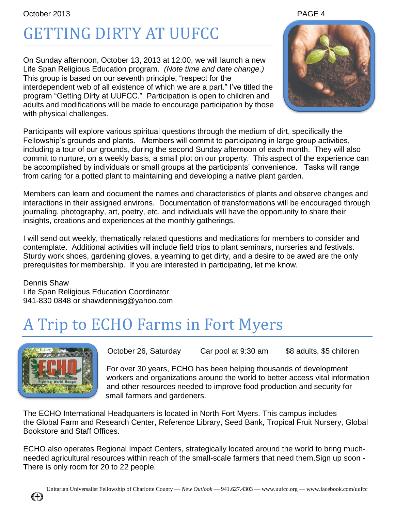# GETTING DIRTY AT UUFCC

On Sunday afternoon, October 13, 2013 at 12:00, we will launch a new Life Span Religious Education program. *(Note time and date change.)* This group is based on our seventh principle, "respect for the interdependent web of all existence of which we are a part." I've titled the program "Getting Dirty at UUFCC." Participation is open to children and adults and modifications will be made to encourage participation by those with physical challenges.



Participants will explore various spiritual questions through the medium of dirt, specifically the Fellowship's grounds and plants. Members will commit to participating in large group activities, including a tour of our grounds, during the second Sunday afternoon of each month. They will also commit to nurture, on a weekly basis, a small plot on our property. This aspect of the experience can be accomplished by individuals or small groups at the participants' convenience. Tasks will range from caring for a potted plant to maintaining and developing a native plant garden.

Members can learn and document the names and characteristics of plants and observe changes and interactions in their assigned environs. Documentation of transformations will be encouraged through journaling, photography, art, poetry, etc. and individuals will have the opportunity to share their insights, creations and experiences at the monthly gatherings.

I will send out weekly, thematically related questions and meditations for members to consider and contemplate. Additional activities will include field trips to plant seminars, nurseries and festivals. Sturdy work shoes, gardening gloves, a yearning to get dirty, and a desire to be awed are the only prerequisites for membership. If you are interested in participating, let me know.

Dennis Shaw Life Span Religious Education Coordinator 941-830 0848 or shawdennisg@yahoo.com

### A Trip to ECHO Farms in Fort Myers



October 26, Saturday Car pool at 9:30 am \$8 adults, \$5 children

For over 30 years, ECHO has been helping thousands of development workers and organizations around the world to better access vital information and other resources needed to improve food production and security for small farmers and gardeners.

The ECHO International Headquarters is located in North Fort Myers. This campus includes the Global Farm and Research Center, Reference Library, Seed Bank, Tropical Fruit Nursery, Global Bookstore and Staff Offices.

ECHO also operates Regional Impact Centers, strategically located around the world to bring muchneeded agricultural resources within reach of the small-scale farmers that need them.Sign up soon - There is only room for 20 to 22 people.

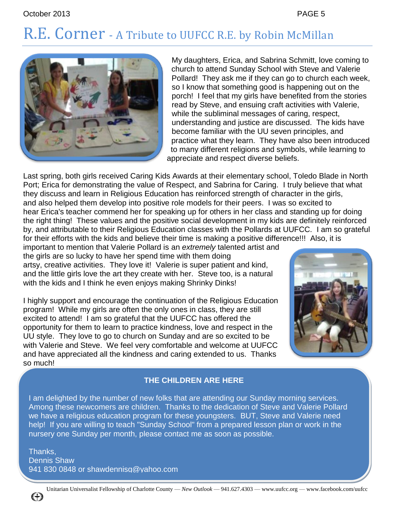### R.E. Corner - A Tribute to UUFCC R.E. by Robin McMillan



My daughters, Erica, and Sabrina Schmitt, love coming to church to attend Sunday School with Steve and Valerie Pollard! They ask me if they can go to church each week, so I know that something good is happening out on the porch! I feel that my girls have benefited from the stories read by Steve, and ensuing craft activities with Valerie, while the subliminal messages of caring, respect, understanding and justice are discussed. The kids have become familiar with the UU seven principles, and practice what they learn. They have also been introduced to many different religions and symbols, while learning to appreciate and respect diverse beliefs.

Last spring, both girls received Caring Kids Awards at their elementary school, Toledo Blade in North Port; Erica for demonstrating the value of Respect, and Sabrina for Caring. I truly believe that what they discuss and learn in Religious Education has reinforced strength of character in the girls, and also helped them develop into positive role models for their peers. I was so excited to hear Erica's teacher commend her for speaking up for others in her class and standing up for doing the right thing! These values and the positive social development in my kids are definitely reinforced by, and attributable to their Religious Education classes with the Pollards at UUFCC. I am so grateful for their efforts with the kids and believe their time is making a positive difference!!! Also, it is

important to mention that Valerie Pollard is an *extremely* talented artist and the girls are so lucky to have her spend time with them doing artsy, creative activities. They love it! Valerie is super patient and kind, and the little girls love the art they create with her. Steve too, is a natural with the kids and I think he even enjoys making Shrinky Dinks!

I highly support and encourage the continuation of the Religious Education program! While my girls are often the only ones in class, they are still excited to attend! I am so grateful that the UUFCC has offered the opportunity for them to learn to practice kindness, love and respect in the UU style. They love to go to church on Sunday and are so excited to be with Valerie and Steve. We feel very comfortable and welcome at UUFCC and have appreciated all the kindness and caring extended to us. Thanks so much!



#### **THE CHILDREN ARE HERE**

I am delighted by the number of new folks that are attending our Sunday morning services. Among these newcomers are children. Thanks to the dedication of Steve and Valerie Pollard we have a religious education program for these youngsters. BUT, Steve and Valerie need help! If you are willing to teach "Sunday School" from a prepared lesson plan or work in the nursery one Sunday per month, please contact me as soon as possible.

Thanks, Dennis Shaw 941 830 0848 or shawdennisg@yahoo.com

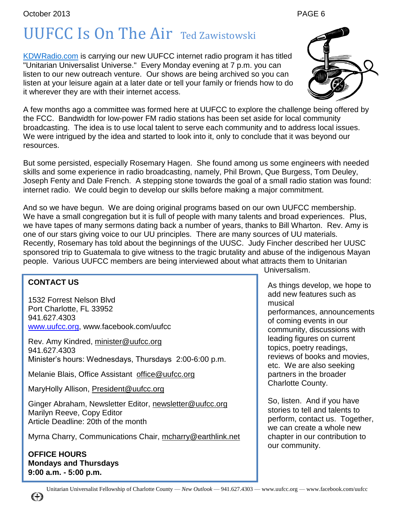## UUFCC Is On The Air Ted Zawistowski

[KDWRadio.com](http://kdwradio.com/) is carrying our new UUFCC internet radio program it has titled "Unitarian Universalist Universe." Every Monday evening at 7 p.m. you can listen to our new outreach venture. Our shows are being archived so you can listen at your leisure again at a later date or tell your family or friends how to do it wherever they are with their internet access.

A few months ago a committee was formed here at UUFCC to explore the challenge being offered by the FCC. Bandwidth for low-power FM radio stations has been set aside for local community broadcasting. The idea is to use local talent to serve each community and to address local issues. We were intrigued by the idea and started to look into it, only to conclude that it was beyond our resources.

But some persisted, especially Rosemary Hagen. She found among us some engineers with needed skills and some experience in radio broadcasting, namely, Phil Brown, Que Burgess, Tom Deuley, Joseph Fenty and Dale French. A stepping stone towards the goal of a small radio station was found: internet radio. We could begin to develop our skills before making a major commitment.

And so we have begun. We are doing original programs based on our own UUFCC membership. We have a small congregation but it is full of people with many talents and broad experiences. Plus, we have tapes of many sermons dating back a number of years, thanks to Bill Wharton. Rev. Amy is one of our stars giving voice to our UU principles. There are many sources of UU materials. Recently, Rosemary has told about the beginnings of the UUSC. Judy Fincher described her UUSC sponsored trip to Guatemala to give witness to the tragic brutality and abuse of the indigenous Mayan people. Various UUFCC members are being interviewed about what attracts them to Unitarian

#### **CONTACT US**

1532 Forrest Nelson Blvd Port Charlotte, FL 33952 941.627.4303 [www.uufcc.org,](http://www.uufcc.org/) www.facebook.com/uufcc

Rev. Amy Kindred, minister@uufcc.org 941.627.4303 Minister's hours: Wednesdays, Thursdays 2:00-6:00 p.m.

Melanie Blais, Office Assistant [office@uufcc.org](mailto:office@uufcc.org)

MaryHolly Allison, President@uufcc.org

Ginger Abraham, Newsletter Editor, newsletter@uufcc.org Marilyn Reeve, Copy Editor Article Deadline: 20th of the month

Myrna Charry, Communications Chair, mcharry@earthlink.net

**OFFICE HOURS Mondays and Thursdays 9:00 a.m. - 5:00 p.m.**

Universalism.

As things develop, we hope to add new features such as musical performances, announcements of coming events in our community, discussions with leading figures on current topics, poetry readings, reviews of books and movies,

etc. We are also seeking partners in the broader Charlotte County.

So, listen. And if you have stories to tell and talents to perform, contact us. Together, we can create a whole new chapter in our contribution to our community.



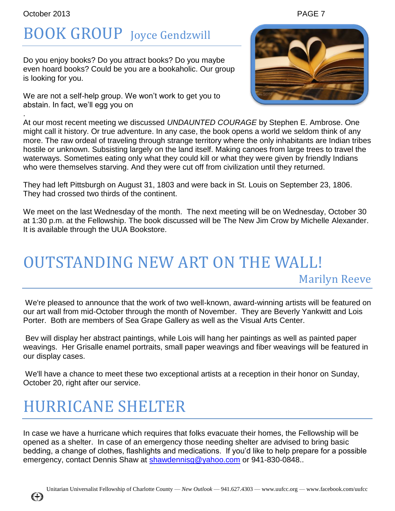.

## BOOK GROUP Joyce Gendzwill

Do you enjoy books? Do you attract books? Do you maybe even hoard books? Could be you are a bookaholic. Our group is looking for you.

We are not a self-help group. We won't work to get you to abstain. In fact, we'll egg you on

At our most recent meeting we discussed *UNDAUNTED COURAGE* by Stephen E. Ambrose. One might call it history. Or true adventure. In any case, the book opens a world we seldom think of any more. The raw ordeal of traveling through strange territory where the only inhabitants are Indian tribes hostile or unknown. Subsisting largely on the land itself. Making canoes from large trees to travel the waterways. Sometimes eating only what they could kill or what they were given by friendly Indians who were themselves starving. And they were cut off from civilization until they returned.

They had left Pittsburgh on August 31, 1803 and were back in St. Louis on September 23, 1806. They had crossed two thirds of the continent.

We meet on the last Wednesday of the month. The next meeting will be on Wednesday, October 30 at 1:30 p.m. at the Fellowship. The book discussed will be The New Jim Crow by Michelle Alexander. It is available through the UUA Bookstore.

### OUTSTANDING NEW ART ON THE WALL! Marilyn Reeve

We're pleased to announce that the work of two well-known, award-winning artists will be featured on our art wall from mid-October through the month of November. They are Beverly Yankwitt and Lois Porter. Both are members of Sea Grape Gallery as well as the Visual Arts Center.

Bev will display her abstract paintings, while Lois will hang her paintings as well as painted paper weavings. Her Grisalle enamel portraits, small paper weavings and fiber weavings will be featured in our display cases.

We'll have a chance to meet these two exceptional artists at a reception in their honor on Sunday, October 20, right after our service.

### HURRICANE SHELTER

Œ

In case we have a hurricane which requires that folks evacuate their homes, the Fellowship will be opened as a shelter. In case of an emergency those needing shelter are advised to bring basic bedding, a change of clothes, flashlights and medications. If you'd like to help prepare for a possible emergency, contact Dennis Shaw at [shawdennisg@yahoo.com](mailto:shawdennisg@yahoo.com) or 941-830-0848.



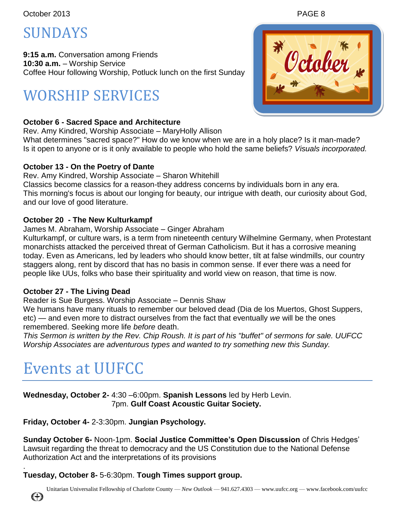### SUNDAYS

**9:15 a.m.** Conversation among Friends **10:30 a.m.** – Worship Service Coffee Hour following Worship, Potluck lunch on the first Sunday

### WORSHIP SERVICES

### **October 6 - Sacred Space and Architecture**

Rev. Amy Kindred, Worship Associate – MaryHolly Allison What determines "sacred space?" How do we know when we are in a holy place? Is it man-made? Is it open to anyone or is it only available to people who hold the same beliefs? *Visuals incorporated.*

### **October 13 - On the Poetry of Dante**

Rev. Amy Kindred, Worship Associate – Sharon Whitehill Classics become classics for a reason-they address concerns by individuals born in any era. This morning's focus is about our longing for beauty, our intrigue with death, our curiosity about God, and our love of good literature.

### **October 20 - The New Kulturkampf**

#### James M. Abraham, Worship Associate – Ginger Abraham

Kulturkampf, or culture wars, is a term from nineteenth century Wilhelmine Germany, when Protestant monarchists attacked the perceived threat of German Catholicism. But it has a corrosive meaning today. Even as Americans, led by leaders who should know better, tilt at false windmills, our country staggers along, rent by discord that has no basis in common sense. If ever there was a need for people like UUs, folks who base their spirituality and world view on reason, that time is now.

#### **October 27 - The Living Dead**

#### Reader is Sue Burgess. Worship Associate – Dennis Shaw

We humans have many rituals to remember our beloved dead (Dia de los Muertos, Ghost Suppers, etc) — and even more to distract ourselves from the fact that eventually *we* will be the ones remembered. Seeking more life *before* death.

*This Sermon is written by the Rev. Chip Roush. It is part of his "buffet" of sermons for sale. UUFCC Worship Associates are adventurous types and wanted to try something new this Sunday.*

### Events at UUFCC

**Wednesday, October 2-** 4:30 –6:00pm. **Spanish Lessons** led by Herb Levin. 7pm. **Gulf Coast Acoustic Guitar Society.** 

**Friday, October 4-** 2-3:30pm. **Jungian Psychology.** 

**Sunday October 6-** Noon-1pm. **Social Justice Committee's Open Discussion** of Chris Hedges' Lawsuit regarding the threat to democracy and the US Constitution due to the National Defense Authorization Act and the interpretations of its provisions

#### . **Tuesday, October 8-** 5-6:30pm. **Tough Times support group.**